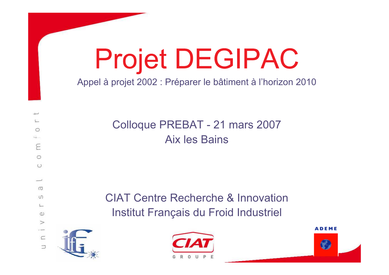# Projet DEGIPAC

Appel à projet 2002 : Préparer le bâtiment à l'horizon 2010

Colloque PREBAT - 21 mars 2007 **Aix les Bains** 

**CIAT Centre Recherche & Innovation** Institut Français du Froid Industriel





**ADEME** 

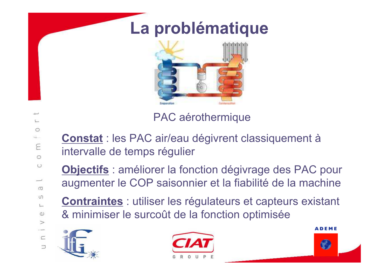## La problématique



PAC aérothermique

**Constat** : les PAC air/eau dégivrent classiquement à intervalle de temps régulier

Objectifs : améliorer la fonction dégivrage des PAC pour augmenter le COP saisonnier et la fiabilité de la machine

**Contraintes** : utiliser les régulateurs et capteurs existant & minimiser le surcoût de la fonction optimisée







0  $\leftarrow$ E  $\circ$  $\cup$  $\sigma$  $\cup$  $\subset$  $\omega$  $\geq$  $\subset$  $\supset$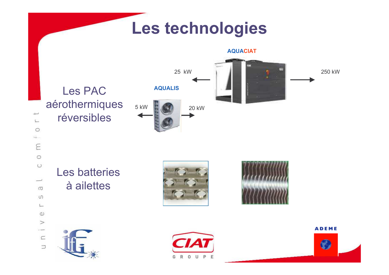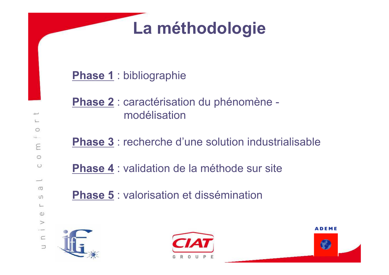# La méthodologie

#### **Phase 1: bibliographie**

- Phase 2 : caractérisation du phénomène modélisation
- **Phase 3: recherche d'une solution industrialisable**
- **Phase 4: validation de la méthode sur site**
- Phase 5 : valorisation et dissémination





**ADEME** C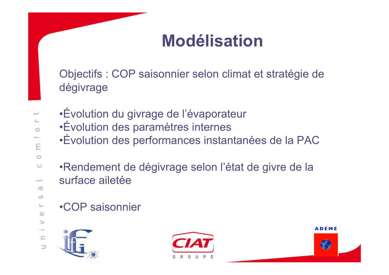### **Modélisation**

Objectifs : COP saisonnier selon climat et stratégie de dégivrage

- $\circ$  $E_{\rm E}$  $\circ$  $\cup$  $\overline{\phantom{0}}$  $\Box$  $\cup$  $\overline{\phantom{a}}$  $\omega$  $\geq$  $\subset$  $\Rightarrow$
- ·Évolution du givrage de l'évaporateur •Évolution des paramètres internes
- •Évolution des performances instantanées de la PAC
- •Rendement de dégivrage selon l'état de givre de la surface ailetée
- •COP saisonnier





**ADEME**  $\mathcal C$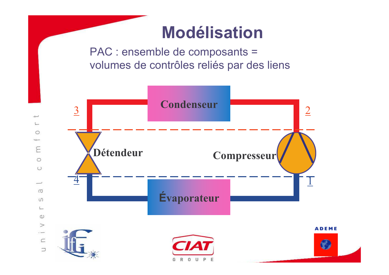### **Modélisation**

PAC : ensemble de composants = volumes de contrôles reliés par des liens

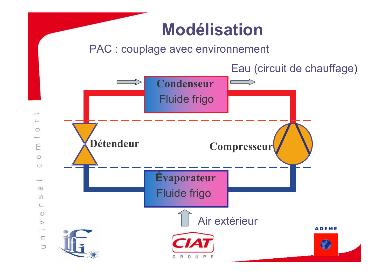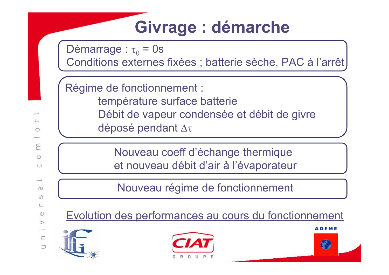# Givrage : démarche

Démarrage :  $\tau_0$  = 0s Conditions externes fixées ; batterie sèche, PAC à l'arrêt

Régime de fonctionnement : température surface batterie Débit de vapeur condensée et débit de givre déposé pendant Δτ

> Nouveau coeff d'échange thermique et nouveau débit d'air à l'évaporateur

Nouveau régime de fonctionnement

Evolution des performances au cours du fonctionnement





**ADEME** 

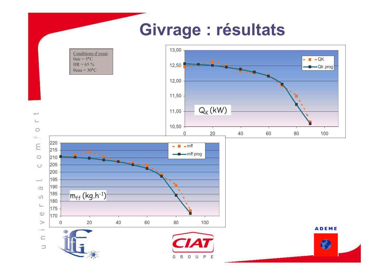#### Givrage : résultats

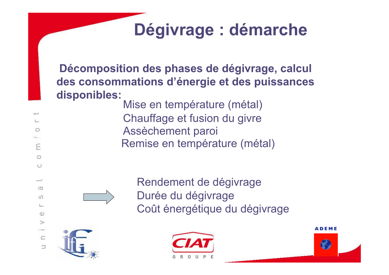# Dégivrage : démarche

Décomposition des phases de dégivrage, calcul des consommations d'énergie et des puissances disponibles:

Mise en température (métal) Chauffage et fusion du givre Assèchement paroi Remise en température (métal)

Rendement de dégivrage Durée du dégivrage Coût énergétique du dégivrage





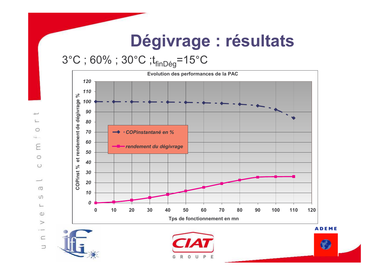### Dégivrage : résultats

#### $3^{\circ}$ C; 60%; 30°C; t<sub>finDég</sub>=15°C





 $\circ$ 

E

 $\circ$ 

 $\circ$ 

نست

 $\sigma$ 

 $\cup$ 

 $\mathbb{C}$ 

 $\omega$ 

 $\geq$ 

 $\overline{\phantom{a}}$  $\subset$ 

 $\Box$ 

 $\rightarrow$ 



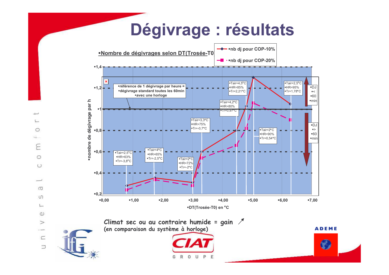#### Dégivrage : résultats  $\rightarrow$  -nb dj pour COP-10% Nombre de dégivrages selon DT(Trosée-T0 - - hb dj pour COP-20%



G

O  $\rightarrow$ E  $\circ$  $\circ$  $\sim$  $\sigma$  $\cup$  $\mathbb{C}$  $\omega$  $\geq$  $\overline{\phantom{a}}$  $\subset$  $\Rightarrow$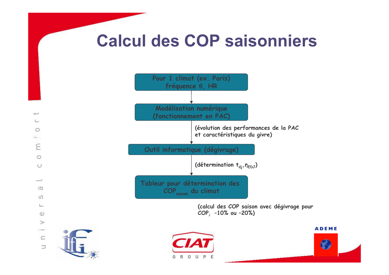#### **Calcul des COP saisonniers**









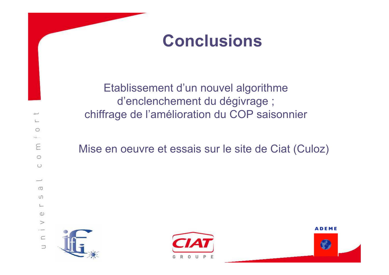### **Conclusions**

Etablissement d'un nouvel algorithme d'enclenchement du dégivrage ; chiffrage de l'amélioration du COP saisonnier

Mise en oeuvre et essais sur le site de Ciat (Culoz)





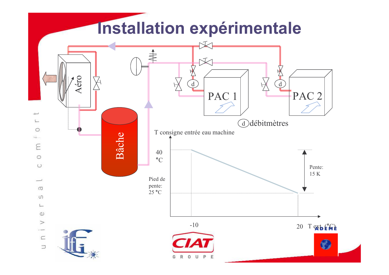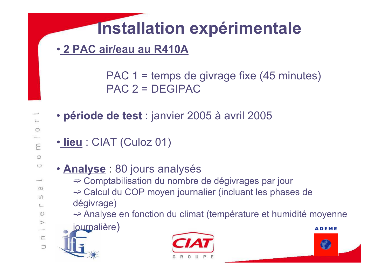# **Installation expérimentale**

· 2 PAC air/eau au R410A

PAC  $1 =$  temps de givrage fixe (45 minutes)  $PAC$  2 = DEGIPAC

- · période de test : janvier 2005 à avril 2005
- · lieu: CIAT (Culoz 01)
- - · Analyse : 80 jours analysés
		- ⇒ Comptabilisation du nombre de dégivrages par jour
		- $\Rightarrow$  Calcul du COP moyen journalier (incluant les phases de dégivrage)
		- $\Rightarrow$  Analyse en fonction du climat (température et humidité moyenne
		- journalière)
	-



**ADEME** 

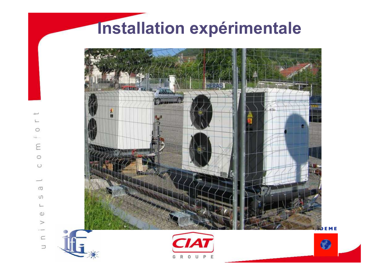### Installation expérimentale



E

 $\circ$  $\circ$ 

> $\sigma$  $\cup$

> > $\omega$  $\geq$

 $\subset$ 

 $\Box$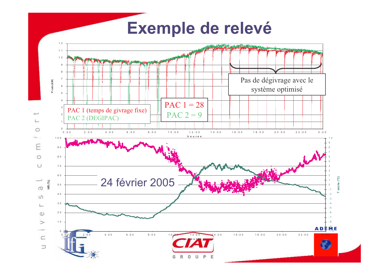#### Exemple de relevé

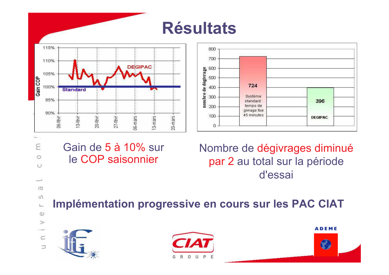





E  $\circ$  $\circ$ ب  $\sigma$  $\cup$  $\overline{\phantom{a}}$  $\omega$  $\geq$  $\overline{\phantom{a}}$ 

 $\subset$ 

 $\Rightarrow$ 

#### Gain de 5 à 10% sur le COP saisonnier

Nombre de dégivrages diminué par 2 au total sur la période d'essai

Implémentation progressive en cours sur les PAC CIAT







 $\mathcal C$